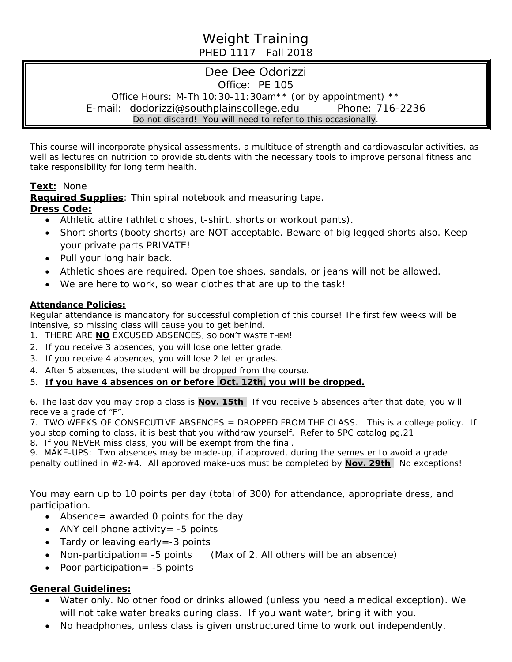# Weight Training PHED 1117 Fall 2018

# Dee Dee Odorizzi Office: PE 105 Office Hours: M-Th 10:30-11:30am\*\* (or by appointment) \*\* E-mail: dodorizzi@southplainscollege.edu Phone: 716-2236 Do not discard! You will need to refer to this occasionally.

This course will incorporate physical assessments, a multitude of strength and cardiovascular activities, as well as lectures on nutrition to provide students with the necessary tools to improve personal fitness and take responsibility for long term health.

## **Text:** None

**Required Supplies**: Thin spiral notebook and measuring tape. **Dress Code:**

- Athletic attire (athletic shoes, t-shirt, shorts or workout pants).
- *Short* shorts (booty shorts) are NOT acceptable. Beware of big legged shorts also. Keep your private parts PRIVATE!
- Pull your long hair back.
- Athletic shoes are required. Open toe shoes, sandals, or jeans will not be allowed.
- We are here to work, so wear clothes that are up to the task!

#### **Attendance Policies:**

Regular attendance is mandatory for successful completion of this course! The first few weeks will be intensive, so missing class will cause you to get behind.

- 1. THERE ARE **NO** EXCUSED ABSENCES, SO DON'T WASTE THEM!
- 2. If you receive 3 absences, you will lose one letter grade.
- 3. If you receive 4 absences, you will lose 2 letter grades.
- 4. After 5 absences, the student will be dropped from the course.

### 5. *If you have 4 absences on or before Oct. 12th, you will be dropped.*

6. The last day you may drop a class is **Nov. 15th**.If you receive 5 absences after that date, you will receive a grade of "F".

7. TWO WEEKS OF CONSECUTIVE ABSENCES = DROPPED FROM THE CLASS. This is a college policy. If you stop coming to class, it is best that you withdraw yourself. Refer to SPC catalog pg.21 8. If you NEVER miss class, you will be exempt from the final.

9. MAKE-UPS: Two absences may be made-up, if approved, during the semester to avoid a grade penalty outlined in #2-#4. All approved make-ups must be completed by **Nov. 29th**. No exceptions!

You may earn up to 10 points per day (total of 300) for attendance, appropriate dress, and participation.

- Absence = awarded 0 points for the day
- ANY cell phone activity  $= -5$  points
- Tardy or leaving early = -3 points
- Non-participation= -5 points (Max of 2. All others will be an absence)
- Poor participation= -5 points

### **General Guidelines:**

- Water only. No other food or drinks allowed *(unless you need a medical exception).* We will not take water breaks during class. If you want water, bring it with you.
- No headphones, unless class is given unstructured time to work out independently.